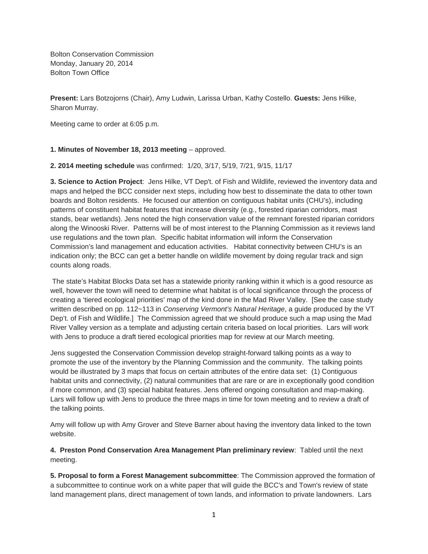Bolton Conservation Commission Monday, January 20, 2014 Bolton Town Office

**Present:** Lars Botzojorns (Chair), Amy Ludwin, Larissa Urban, Kathy Costello. **Guests:** Jens Hilke, Sharon Murray.

Meeting came to order at 6:05 p.m.

## **1. Minutes of November 18, 2013 meeting** – approved.

**2. 2014 meeting schedule** was confirmed: 1/20, 3/17, 5/19, 7/21, 9/15, 11/17

**3. Science to Action Project**: Jens Hilke, VT Dep't. of Fish and Wildlife, reviewed the inventory data and maps and helped the BCC consider next steps, including how best to disseminate the data to other town boards and Bolton residents. He focused our attention on contiguous habitat units (CHU's), including patterns of constituent habitat features that increase diversity (e.g., forested riparian corridors, mast stands, bear wetlands). Jens noted the high conservation value of the remnant forested riparian corridors along the Winooski River. Patterns will be of most interest to the Planning Commission as it reviews land use regulations and the town plan. Specific habitat information will inform the Conservation Commission's land management and education activities. Habitat connectivity between CHU's is an indication only; the BCC can get a better handle on wildlife movement by doing regular track and sign counts along roads.

 The state's Habitat Blocks Data set has a statewide priority ranking within it which is a good resource as well, however the town will need to determine what habitat is of local significance through the process of creating a 'tiered ecological priorities' map of the kind done in the Mad River Valley. [See the case study written described on pp. 112~113 in *Conserving Vermont's Natural Heritage*, a guide produced by the VT Dep't. of Fish and Wildlife.] The Commission agreed that we should produce such a map using the Mad River Valley version as a template and adjusting certain criteria based on local priorities. Lars will work with Jens to produce a draft tiered ecological priorities map for review at our March meeting.

Jens suggested the Conservation Commission develop straight-forward talking points as a way to promote the use of the inventory by the Planning Commission and the community. The talking points would be illustrated by 3 maps that focus on certain attributes of the entire data set: (1) Contiguous habitat units and connectivity, (2) natural communities that are rare or are in exceptionally good condition if more common, and (3) special habitat features. Jens offered ongoing consultation and map-making. Lars will follow up with Jens to produce the three maps in time for town meeting and to review a draft of the talking points.

Amy will follow up with Amy Grover and Steve Barner about having the inventory data linked to the town website.

**4. Preston Pond Conservation Area Management Plan preliminary review**: Tabled until the next meeting.

**5. Proposal to form a Forest Management subcommittee**: The Commission approved the formation of a subcommittee to continue work on a white paper that will guide the BCC's and Town's review of state land management plans, direct management of town lands, and information to private landowners. Lars